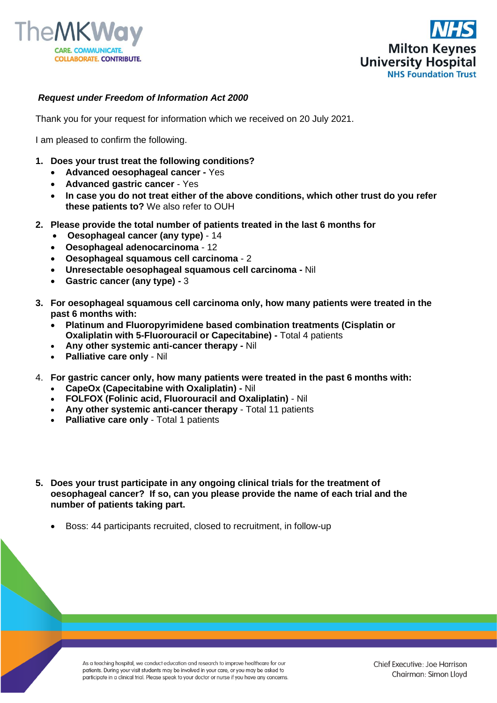



## *Request under Freedom of Information Act 2000*

Thank you for your request for information which we received on 20 July 2021.

I am pleased to confirm the following.

- **1. Does your trust treat the following conditions?** 
	- **Advanced oesophageal cancer -** Yes
	- **Advanced gastric cancer** Yes
	- **In case you do not treat either of the above conditions, which other trust do you refer these patients to?** We also refer to OUH
- **2. Please provide the total number of patients treated in the last 6 months for** 
	- **Oesophageal cancer (any type)** 14
	- **Oesophageal adenocarcinoma** 12
	- **Oesophageal squamous cell carcinoma** 2
	- **Unresectable oesophageal squamous cell carcinoma -** Nil
	- **Gastric cancer (any type) -** 3
- **3. For oesophageal squamous cell carcinoma only, how many patients were treated in the past 6 months with:**
	- **Platinum and Fluoropyrimidene based combination treatments (Cisplatin or Oxaliplatin with 5-Fluorouracil or Capecitabine) -** Total 4 patients
	- **Any other systemic anti-cancer therapy -** Nil
	- **Palliative care only** Nil
- 4. **For gastric cancer only, how many patients were treated in the past 6 months with:**
	- **CapeOx (Capecitabine with Oxaliplatin) -** Nil
	- **FOLFOX (Folinic acid, Fluorouracil and Oxaliplatin)** Nil
	- **Any other systemic anti-cancer therapy** Total 11 patients
	- **Palliative care only Total 1 patients**
- **5. Does your trust participate in any ongoing clinical trials for the treatment of oesophageal cancer? If so, can you please provide the name of each trial and the number of patients taking part.**
	- Boss: 44 participants recruited, closed to recruitment, in follow-up